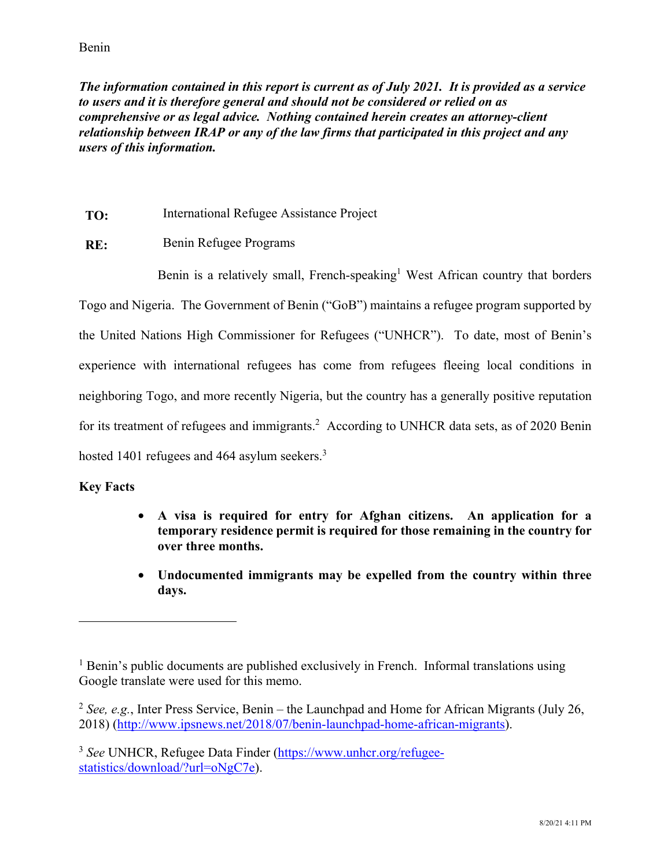*The information contained in this report is current as of July 2021. It is provided as a service to users and it is therefore general and should not be considered or relied on as comprehensive or as legal advice. Nothing contained herein creates an attorney-client relationship between IRAP or any of the law firms that participated in this project and any users of this information.* 

- **TO:** International Refugee Assistance Project
- **RE:** Benin Refugee Programs

Benin is a relatively small, French-speaking<sup>1</sup> West African country that borders Togo and Nigeria. The Government of Benin ("GoB") maintains a refugee program supported by the United Nations High Commissioner for Refugees ("UNHCR"). To date, most of Benin's experience with international refugees has come from refugees fleeing local conditions in neighboring Togo, and more recently Nigeria, but the country has a generally positive reputation for its treatment of refugees and immigrants.<sup>2</sup> According to UNHCR data sets, as of 2020 Benin hosted 1401 refugees and 464 asylum seekers.<sup>3</sup>

### **Key Facts**

- **A visa is required for entry for Afghan citizens. An application for a temporary residence permit is required for those remaining in the country for over three months.**
- **Undocumented immigrants may be expelled from the country within three days.**

<sup>&</sup>lt;sup>1</sup> Benin's public documents are published exclusively in French. Informal translations using Google translate were used for this memo.

<sup>2</sup> *See, e.g.*, Inter Press Service, Benin – the Launchpad and Home for African Migrants (July 26, 2018) (http://www.ipsnews.net/2018/07/benin-launchpad-home-african-migrants).

<sup>3</sup> *See* UNHCR, Refugee Data Finder (https://www.unhcr.org/refugeestatistics/download/?url=oNgC7e).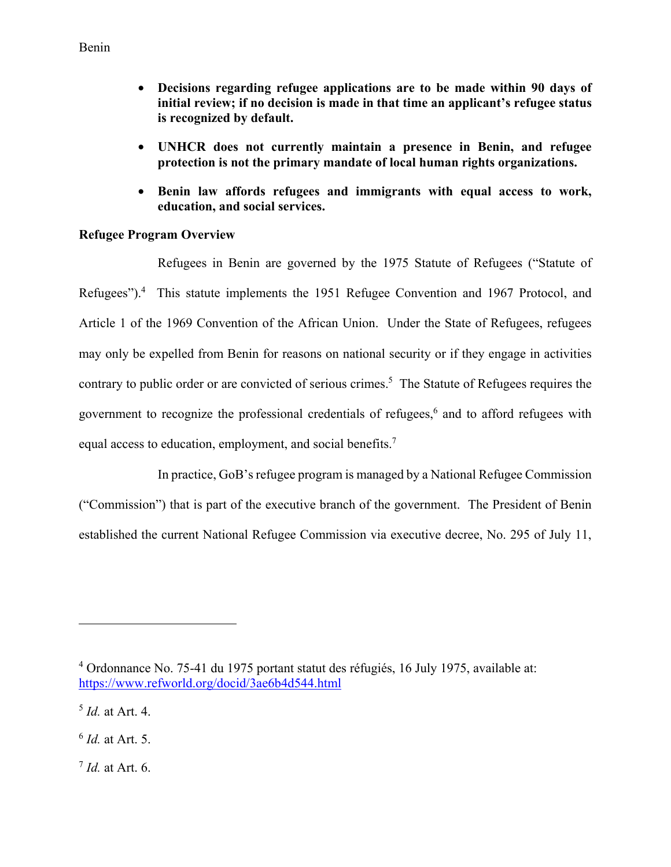- **Decisions regarding refugee applications are to be made within 90 days of initial review; if no decision is made in that time an applicant's refugee status is recognized by default.**
- **UNHCR does not currently maintain a presence in Benin, and refugee protection is not the primary mandate of local human rights organizations.**
- **Benin law affords refugees and immigrants with equal access to work, education, and social services.**

### **Refugee Program Overview**

Refugees in Benin are governed by the 1975 Statute of Refugees ("Statute of Refugees").<sup>4</sup> This statute implements the 1951 Refugee Convention and 1967 Protocol, and Article 1 of the 1969 Convention of the African Union. Under the State of Refugees, refugees may only be expelled from Benin for reasons on national security or if they engage in activities contrary to public order or are convicted of serious crimes.<sup>5</sup> The Statute of Refugees requires the government to recognize the professional credentials of refugees,<sup>6</sup> and to afford refugees with equal access to education, employment, and social benefits.7

In practice, GoB's refugee program is managed by a National Refugee Commission ("Commission") that is part of the executive branch of the government. The President of Benin established the current National Refugee Commission via executive decree, No. 295 of July 11,

 $\overline{a}$ 

<sup>7</sup> *Id.* at Art. 6.

<sup>4</sup> Ordonnance No. 75-41 du 1975 portant statut des réfugiés, 16 July 1975, available at: https://www.refworld.org/docid/3ae6b4d544.html

<sup>5</sup> *Id.* at Art. 4.

<sup>6</sup> *Id.* at Art. 5.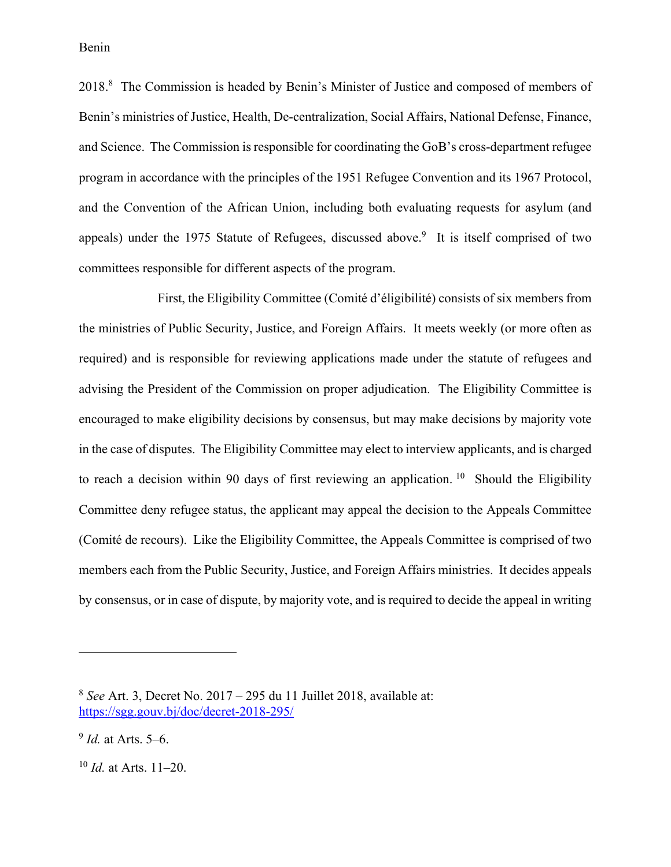2018.<sup>8</sup> The Commission is headed by Benin's Minister of Justice and composed of members of Benin's ministries of Justice, Health, De-centralization, Social Affairs, National Defense, Finance, and Science. The Commission is responsible for coordinating the GoB's cross-department refugee program in accordance with the principles of the 1951 Refugee Convention and its 1967 Protocol, and the Convention of the African Union, including both evaluating requests for asylum (and appeals) under the 1975 Statute of Refugees, discussed above.<sup>9</sup> It is itself comprised of two committees responsible for different aspects of the program.

First, the Eligibility Committee (Comité d'éligibilité) consists of six members from the ministries of Public Security, Justice, and Foreign Affairs. It meets weekly (or more often as required) and is responsible for reviewing applications made under the statute of refugees and advising the President of the Commission on proper adjudication. The Eligibility Committee is encouraged to make eligibility decisions by consensus, but may make decisions by majority vote in the case of disputes. The Eligibility Committee may elect to interview applicants, and is charged to reach a decision within 90 days of first reviewing an application. <sup>10</sup> Should the Eligibility Committee deny refugee status, the applicant may appeal the decision to the Appeals Committee (Comité de recours). Like the Eligibility Committee, the Appeals Committee is comprised of two members each from the Public Security, Justice, and Foreign Affairs ministries. It decides appeals by consensus, or in case of dispute, by majority vote, and is required to decide the appeal in writing

<sup>8</sup> *See* Art. 3, Decret No. 2017 – 295 du 11 Juillet 2018, available at: https://sgg.gouv.bj/doc/decret-2018-295/

<sup>9</sup> *Id.* at Arts. 5–6.

<sup>10</sup> *Id.* at Arts. 11–20.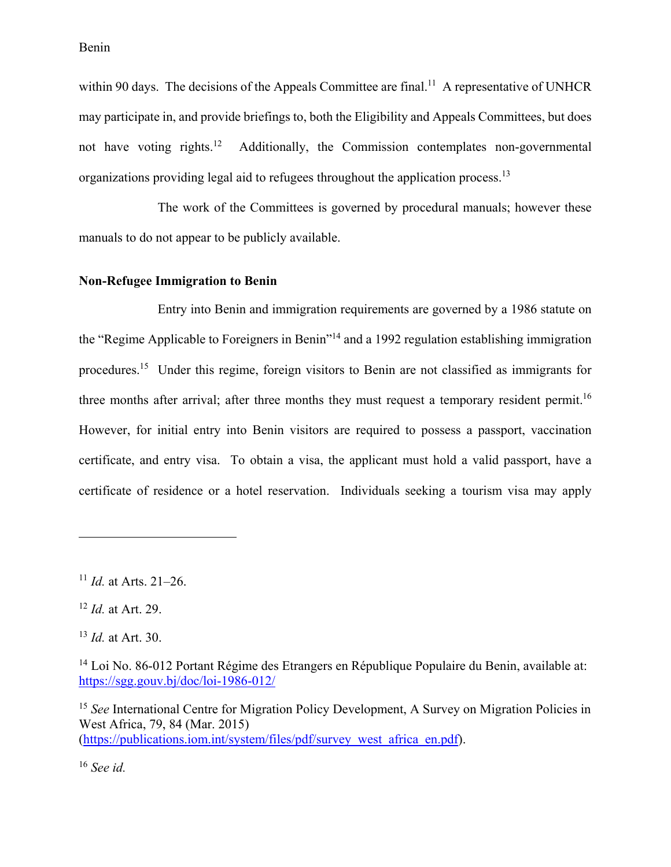within 90 days. The decisions of the Appeals Committee are final.<sup>11</sup> A representative of UNHCR may participate in, and provide briefings to, both the Eligibility and Appeals Committees, but does not have voting rights.<sup>12</sup> Additionally, the Commission contemplates non-governmental organizations providing legal aid to refugees throughout the application process.13

The work of the Committees is governed by procedural manuals; however these manuals to do not appear to be publicly available.

#### **Non-Refugee Immigration to Benin**

Entry into Benin and immigration requirements are governed by a 1986 statute on the "Regime Applicable to Foreigners in Benin"14 and a 1992 regulation establishing immigration procedures.15 Under this regime, foreign visitors to Benin are not classified as immigrants for three months after arrival; after three months they must request a temporary resident permit.<sup>16</sup> However, for initial entry into Benin visitors are required to possess a passport, vaccination certificate, and entry visa. To obtain a visa, the applicant must hold a valid passport, have a certificate of residence or a hotel reservation. Individuals seeking a tourism visa may apply

<u>.</u>

<sup>16</sup> *See id.*

<sup>11</sup> *Id.* at Arts. 21–26.

<sup>12</sup> *Id.* at Art. 29.

<sup>13</sup> *Id.* at Art. 30.

<sup>&</sup>lt;sup>14</sup> Loi No. 86-012 Portant Régime des Etrangers en République Populaire du Benin, available at: https://sgg.gouv.bj/doc/loi-1986-012/

<sup>15</sup> *See* International Centre for Migration Policy Development, A Survey on Migration Policies in West Africa, 79, 84 (Mar. 2015) (https://publications.iom.int/system/files/pdf/survey\_west\_africa\_en.pdf).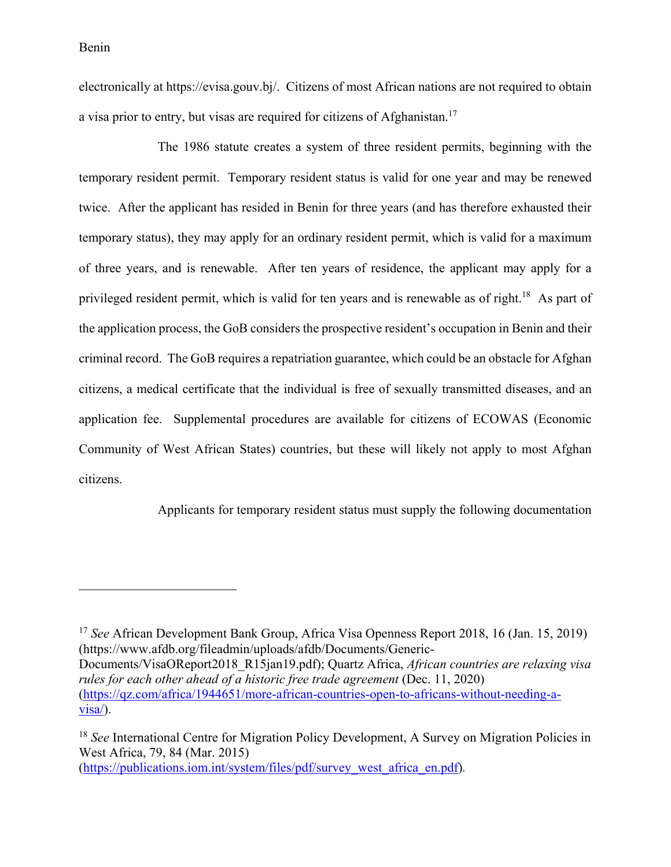<u>.</u>

electronically at https://evisa.gouv.bj/. Citizens of most African nations are not required to obtain a visa prior to entry, but visas are required for citizens of Afghanistan.<sup>17</sup>

The 1986 statute creates a system of three resident permits, beginning with the temporary resident permit. Temporary resident status is valid for one year and may be renewed twice. After the applicant has resided in Benin for three years (and has therefore exhausted their temporary status), they may apply for an ordinary resident permit, which is valid for a maximum of three years, and is renewable. After ten years of residence, the applicant may apply for a privileged resident permit, which is valid for ten years and is renewable as of right.<sup>18</sup> As part of the application process, the GoB considers the prospective resident's occupation in Benin and their criminal record. The GoB requires a repatriation guarantee, which could be an obstacle for Afghan citizens, a medical certificate that the individual is free of sexually transmitted diseases, and an application fee. Supplemental procedures are available for citizens of ECOWAS (Economic Community of West African States) countries, but these will likely not apply to most Afghan citizens.

Applicants for temporary resident status must supply the following documentation

<sup>17</sup> *See* African Development Bank Group, Africa Visa Openness Report 2018, 16 (Jan. 15, 2019) (https://www.afdb.org/fileadmin/uploads/afdb/Documents/Generic-Documents/VisaOReport2018\_R15jan19.pdf); Quartz Africa, *African countries are relaxing visa rules for each other ahead of a historic free trade agreement* (Dec. 11, 2020) (https://qz.com/africa/1944651/more-african-countries-open-to-africans-without-needing-a $visa$ ).

<sup>18</sup> *See* International Centre for Migration Policy Development, A Survey on Migration Policies in West Africa, 79, 84 (Mar. 2015) (https://publications.iom.int/system/files/pdf/survey\_west\_africa\_en.pdf)*.*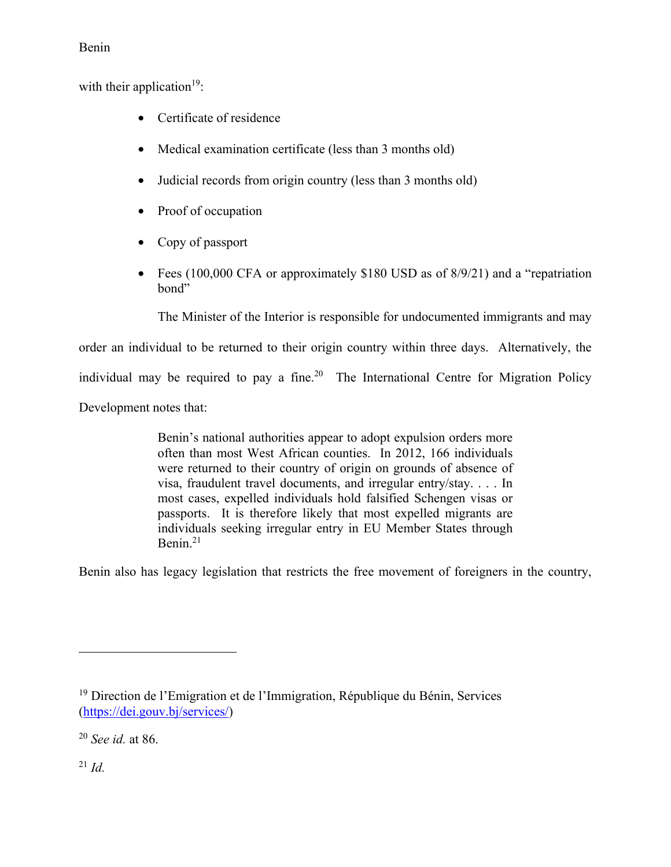with their application<sup>19</sup>:

- Certificate of residence
- Medical examination certificate (less than 3 months old)
- Judicial records from origin country (less than 3 months old)
- Proof of occupation
- Copy of passport
- Fees (100,000 CFA or approximately \$180 USD as of 8/9/21) and a "repatriation" bond"

The Minister of the Interior is responsible for undocumented immigrants and may

order an individual to be returned to their origin country within three days. Alternatively, the

individual may be required to pay a fine.<sup>20</sup> The International Centre for Migration Policy

Development notes that:

Benin's national authorities appear to adopt expulsion orders more often than most West African counties. In 2012, 166 individuals were returned to their country of origin on grounds of absence of visa, fraudulent travel documents, and irregular entry/stay. . . . In most cases, expelled individuals hold falsified Schengen visas or passports. It is therefore likely that most expelled migrants are individuals seeking irregular entry in EU Member States through Benin.<sup>21</sup>

Benin also has legacy legislation that restricts the free movement of foreigners in the country,

<sup>21</sup> *Id.*

<sup>19</sup> Direction de l'Emigration et de l'Immigration, République du Bénin, Services (https://dei.gouv.bj/services/)

<sup>20</sup> *See id.* at 86.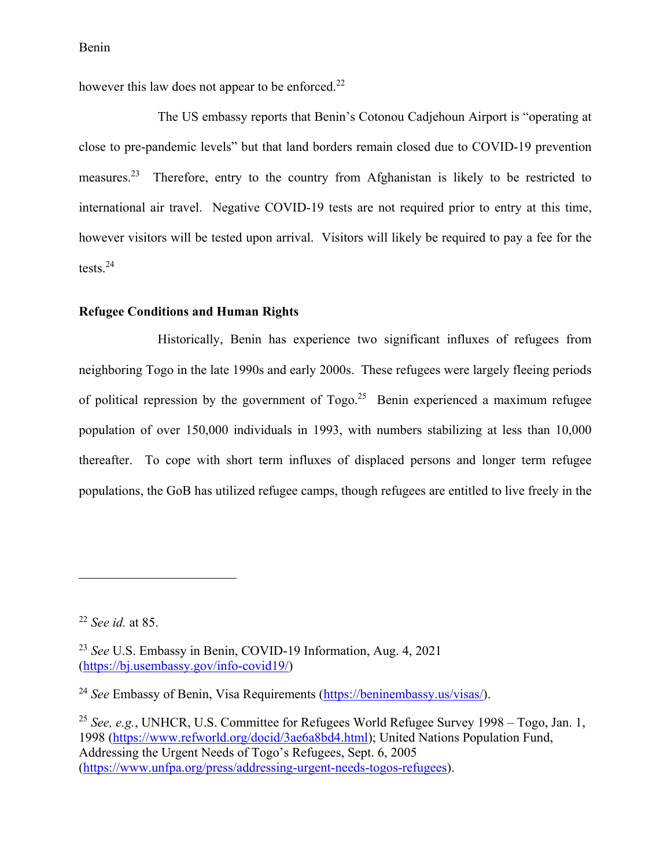however this law does not appear to be enforced.<sup>22</sup>

The US embassy reports that Benin's Cotonou Cadjehoun Airport is "operating at close to pre-pandemic levels" but that land borders remain closed due to COVID-19 prevention measures.23 Therefore, entry to the country from Afghanistan is likely to be restricted to international air travel. Negative COVID-19 tests are not required prior to entry at this time, however visitors will be tested upon arrival. Visitors will likely be required to pay a fee for the tests.24

#### **Refugee Conditions and Human Rights**

Historically, Benin has experience two significant influxes of refugees from neighboring Togo in the late 1990s and early 2000s. These refugees were largely fleeing periods of political repression by the government of  $Togo.<sup>25</sup>$  Benin experienced a maximum refugee population of over 150,000 individuals in 1993, with numbers stabilizing at less than 10,000 thereafter. To cope with short term influxes of displaced persons and longer term refugee populations, the GoB has utilized refugee camps, though refugees are entitled to live freely in the

<sup>22</sup> *See id.* at 85.

<sup>23</sup> *See* U.S. Embassy in Benin, COVID-19 Information, Aug. 4, 2021 (https://bj.usembassy.gov/info-covid19/)

<sup>24</sup> *See* Embassy of Benin, Visa Requirements (https://beninembassy.us/visas/).

<sup>25</sup> *See, e.g.*, UNHCR, U.S. Committee for Refugees World Refugee Survey 1998 – Togo, Jan. 1, 1998 (https://www.refworld.org/docid/3ae6a8bd4.html); United Nations Population Fund, Addressing the Urgent Needs of Togo's Refugees, Sept. 6, 2005 (https://www.unfpa.org/press/addressing-urgent-needs-togos-refugees).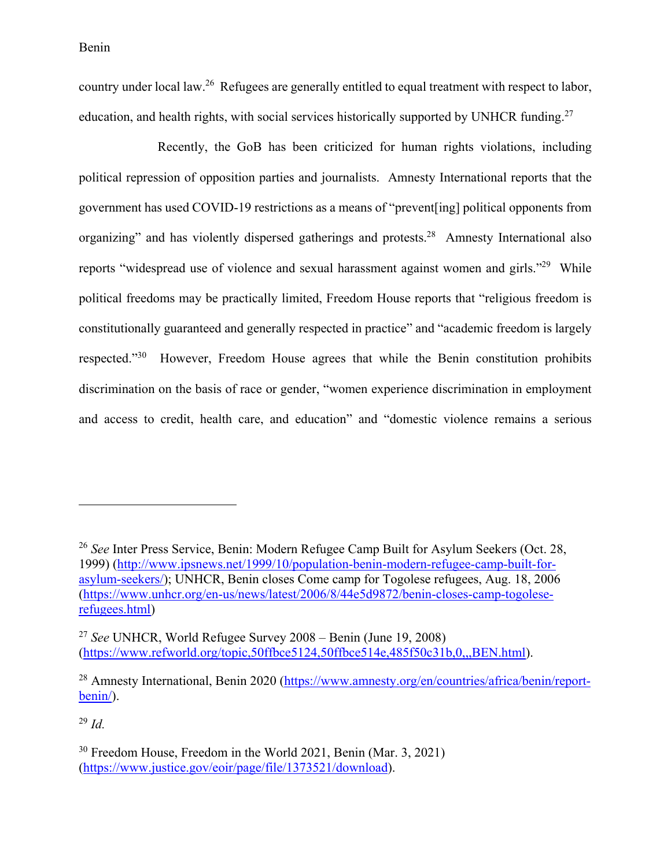country under local law.26 Refugees are generally entitled to equal treatment with respect to labor, education, and health rights, with social services historically supported by UNHCR funding.<sup>27</sup>

Recently, the GoB has been criticized for human rights violations, including political repression of opposition parties and journalists. Amnesty International reports that the government has used COVID-19 restrictions as a means of "prevent[ing] political opponents from organizing" and has violently dispersed gatherings and protests.<sup>28</sup> Amnesty International also reports "widespread use of violence and sexual harassment against women and girls."<sup>29</sup> While political freedoms may be practically limited, Freedom House reports that "religious freedom is constitutionally guaranteed and generally respected in practice" and "academic freedom is largely respected."30 However, Freedom House agrees that while the Benin constitution prohibits discrimination on the basis of race or gender, "women experience discrimination in employment and access to credit, health care, and education" and "domestic violence remains a serious

<sup>29</sup> *Id.*

<sup>26</sup> *See* Inter Press Service, Benin: Modern Refugee Camp Built for Asylum Seekers (Oct. 28, 1999) (http://www.ipsnews.net/1999/10/population-benin-modern-refugee-camp-built-forasylum-seekers/); UNHCR, Benin closes Come camp for Togolese refugees, Aug. 18, 2006 (https://www.unhcr.org/en-us/news/latest/2006/8/44e5d9872/benin-closes-camp-togoleserefugees.html)

<sup>27</sup> *See* UNHCR, World Refugee Survey 2008 – Benin (June 19, 2008) (https://www.refworld.org/topic,50ffbce5124,50ffbce514e,485f50c31b,0,,,BEN.html).

<sup>&</sup>lt;sup>28</sup> Amnesty International, Benin 2020 (https://www.amnesty.org/en/countries/africa/benin/reportbenin/).

<sup>30</sup> Freedom House, Freedom in the World 2021, Benin (Mar. 3, 2021) (https://www.justice.gov/eoir/page/file/1373521/download).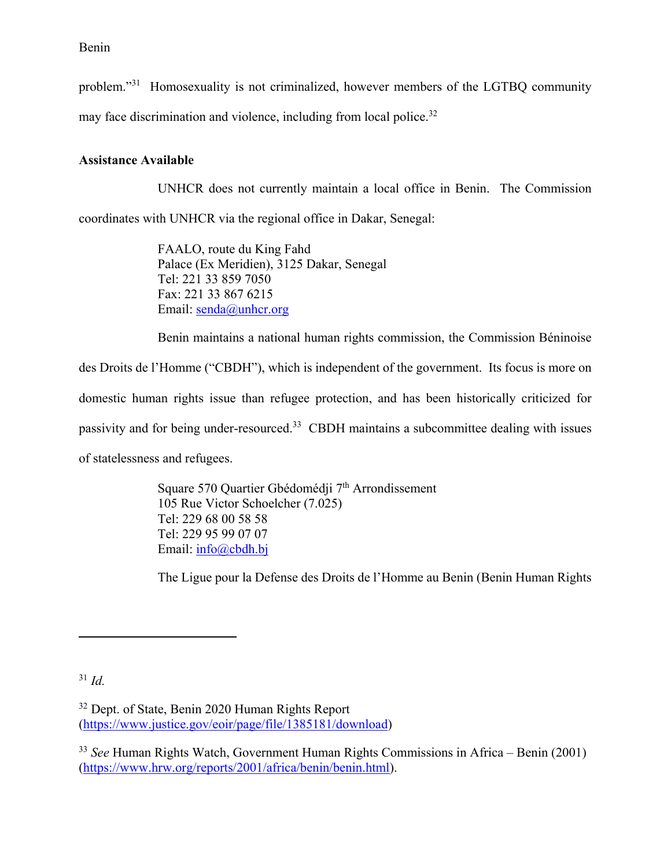problem."31 Homosexuality is not criminalized, however members of the LGTBQ community

may face discrimination and violence, including from local police.<sup>32</sup>

# **Assistance Available**

UNHCR does not currently maintain a local office in Benin. The Commission

coordinates with UNHCR via the regional office in Dakar, Senegal:

FAALO, route du King Fahd Palace (Ex Meridien), 3125 Dakar, Senegal Tel: 221 33 859 7050 Fax: 221 33 867 6215 Email: senda@unhcr.org

Benin maintains a national human rights commission, the Commission Béninoise

des Droits de l'Homme ("CBDH"), which is independent of the government. Its focus is more on domestic human rights issue than refugee protection, and has been historically criticized for passivity and for being under-resourced.33 CBDH maintains a subcommittee dealing with issues of statelessness and refugees.

> Square 570 Quartier Gbédomédji 7<sup>th</sup> Arrondissement 105 Rue Victor Schoelcher (7.025) Tel: 229 68 00 58 58 Tel: 229 95 99 07 07 Email: info@cbdh.bj

The Ligue pour la Defense des Droits de l'Homme au Benin (Benin Human Rights

<sup>31</sup> *Id.*

<sup>&</sup>lt;sup>32</sup> Dept. of State, Benin 2020 Human Rights Report (https://www.justice.gov/eoir/page/file/1385181/download)

<sup>33</sup> *See* Human Rights Watch, Government Human Rights Commissions in Africa – Benin (2001) (https://www.hrw.org/reports/2001/africa/benin/benin.html).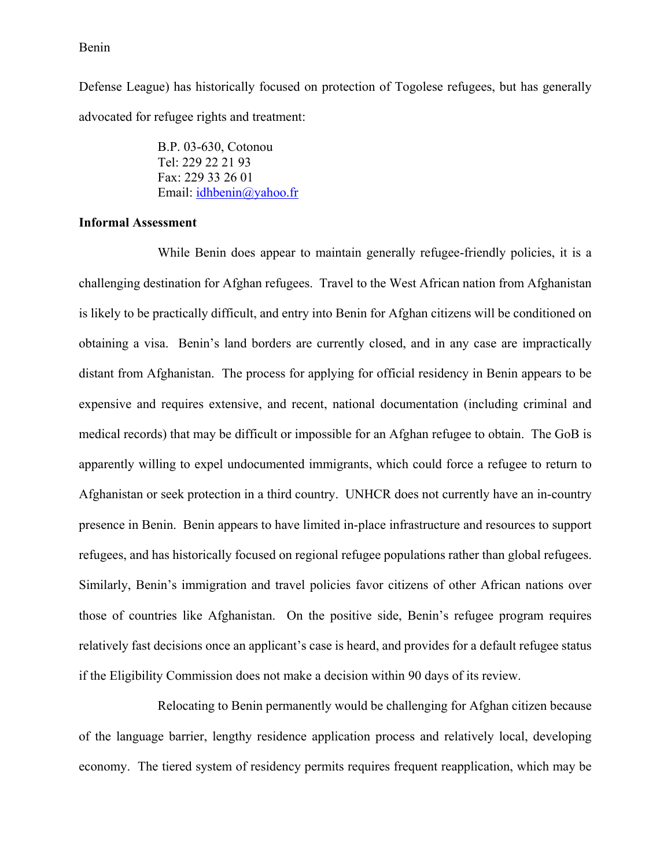Defense League) has historically focused on protection of Togolese refugees, but has generally advocated for refugee rights and treatment:

> B.P. 03-630, Cotonou Tel: 229 22 21 93 Fax: 229 33 26 01 Email: idhbenin@yahoo.fr

#### **Informal Assessment**

While Benin does appear to maintain generally refugee-friendly policies, it is a challenging destination for Afghan refugees. Travel to the West African nation from Afghanistan is likely to be practically difficult, and entry into Benin for Afghan citizens will be conditioned on obtaining a visa. Benin's land borders are currently closed, and in any case are impractically distant from Afghanistan. The process for applying for official residency in Benin appears to be expensive and requires extensive, and recent, national documentation (including criminal and medical records) that may be difficult or impossible for an Afghan refugee to obtain. The GoB is apparently willing to expel undocumented immigrants, which could force a refugee to return to Afghanistan or seek protection in a third country. UNHCR does not currently have an in-country presence in Benin. Benin appears to have limited in-place infrastructure and resources to support refugees, and has historically focused on regional refugee populations rather than global refugees. Similarly, Benin's immigration and travel policies favor citizens of other African nations over those of countries like Afghanistan. On the positive side, Benin's refugee program requires relatively fast decisions once an applicant's case is heard, and provides for a default refugee status if the Eligibility Commission does not make a decision within 90 days of its review.

Relocating to Benin permanently would be challenging for Afghan citizen because of the language barrier, lengthy residence application process and relatively local, developing economy. The tiered system of residency permits requires frequent reapplication, which may be